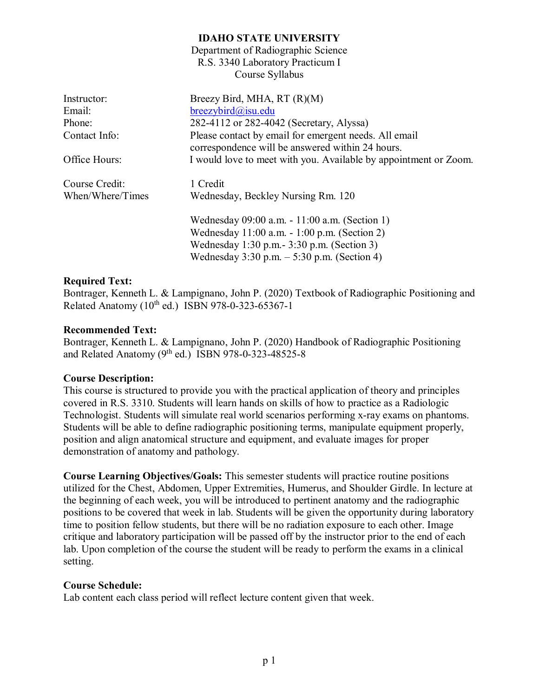Department of Radiographic Science R.S. 3340 Laboratory Practicum I Course Syllabus

| Instructor:      | Breezy Bird, MHA, RT (R)(M)                                                                               |
|------------------|-----------------------------------------------------------------------------------------------------------|
| Email:           | $break$ ybird@isu.edu                                                                                     |
| Phone:           | 282-4112 or 282-4042 (Secretary, Alyssa)                                                                  |
| Contact Info:    | Please contact by email for emergent needs. All email<br>correspondence will be answered within 24 hours. |
| Office Hours:    | I would love to meet with you. Available by appointment or Zoom.                                          |
| Course Credit:   | 1 Credit                                                                                                  |
| When/Where/Times | Wednesday, Beckley Nursing Rm. 120                                                                        |
|                  | Wednesday 09:00 a.m. - 11:00 a.m. (Section 1)                                                             |
|                  | Wednesday 11:00 a.m. - 1:00 p.m. (Section 2)                                                              |
|                  | Wednesday 1:30 p.m. - 3:30 p.m. (Section 3)                                                               |
|                  | Wednesday $3:30$ p.m. $-5:30$ p.m. (Section 4)                                                            |

#### **Required Text:**

Bontrager, Kenneth L. & Lampignano, John P. (2020) Textbook of Radiographic Positioning and Related Anatomy  $(10^{th}$  ed.) ISBN 978-0-323-65367-1

#### **Recommended Text:**

Bontrager, Kenneth L. & Lampignano, John P. (2020) Handbook of Radiographic Positioning and Related Anatomy ( $9^{th}$  ed.) ISBN 978-0-323-48525-8

#### **Course Description:**

This course is structured to provide you with the practical application of theory and principles covered in R.S. 3310. Students will learn hands on skills of how to practice as a Radiologic Technologist. Students will simulate real world scenarios performing x-ray exams on phantoms. Students will be able to define radiographic positioning terms, manipulate equipment properly, position and align anatomical structure and equipment, and evaluate images for proper demonstration of anatomy and pathology.

**Course Learning Objectives/Goals:** This semester students will practice routine positions utilized for the Chest, Abdomen, Upper Extremities, Humerus, and Shoulder Girdle. In lecture at the beginning of each week, you will be introduced to pertinent anatomy and the radiographic positions to be covered that week in lab. Students will be given the opportunity during laboratory time to position fellow students, but there will be no radiation exposure to each other. Image critique and laboratory participation will be passed off by the instructor prior to the end of each lab. Upon completion of the course the student will be ready to perform the exams in a clinical setting.

#### **Course Schedule:**

Lab content each class period will reflect lecture content given that week.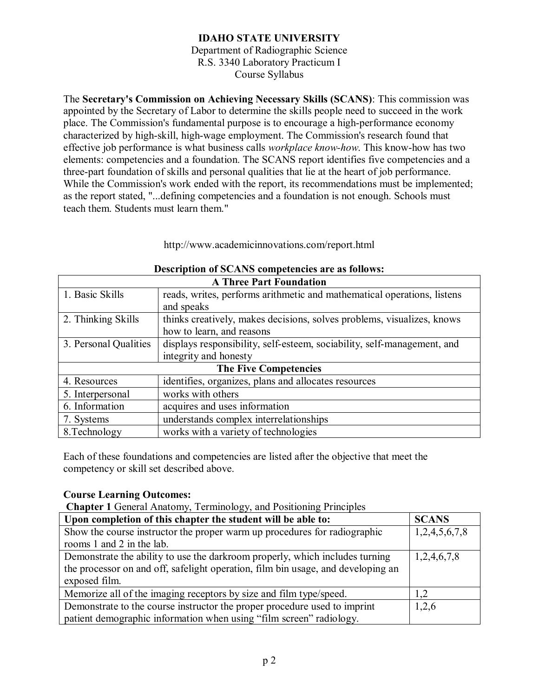Department of Radiographic Science R.S. 3340 Laboratory Practicum I Course Syllabus

The **Secretary's Commission on Achieving Necessary Skills (SCANS)**: This commission was appointed by the Secretary of Labor to determine the skills people need to succeed in the work place. The Commission's fundamental purpose is to encourage a high-performance economy characterized by high-skill, high-wage employment. The Commission's research found that effective job performance is what business calls *workplace know-how*. This know-how has two elements: competencies and a foundation. The SCANS report identifies five competencies and a three-part foundation of skills and personal qualities that lie at the heart of job performance. While the Commission's work ended with the report, its recommendations must be implemented; as the report stated, "...defining competencies and a foundation is not enough. Schools must teach them. Students must learn them."

http://www.academicinnovations.com/report.html

| <b>A Three Part Foundation</b>                                                                   |                                                                         |  |
|--------------------------------------------------------------------------------------------------|-------------------------------------------------------------------------|--|
| 1. Basic Skills                                                                                  | reads, writes, performs arithmetic and mathematical operations, listens |  |
|                                                                                                  | and speaks                                                              |  |
| thinks creatively, makes decisions, solves problems, visualizes, knows<br>2. Thinking Skills     |                                                                         |  |
| how to learn, and reasons                                                                        |                                                                         |  |
| displays responsibility, self-esteem, sociability, self-management, and<br>3. Personal Qualities |                                                                         |  |
| integrity and honesty                                                                            |                                                                         |  |
|                                                                                                  | <b>The Five Competencies</b>                                            |  |
| 4. Resources                                                                                     | identifies, organizes, plans and allocates resources                    |  |
| works with others<br>5. Interpersonal                                                            |                                                                         |  |
| 6. Information<br>acquires and uses information                                                  |                                                                         |  |
| 7. Systems                                                                                       | understands complex interrelationships                                  |  |
| 8. Technology                                                                                    | works with a variety of technologies                                    |  |

#### **Description of SCANS competencies are as follows:**

Each of these foundations and competencies are listed after the objective that meet the competency or skill set described above.

#### **Course Learning Outcomes:**

**Chapter 1** General Anatomy, Terminology, and Positioning Principles

| Upon completion of this chapter the student will be able to:                     | <b>SCANS</b>  |
|----------------------------------------------------------------------------------|---------------|
| Show the course instructor the proper warm up procedures for radiographic        | 1,2,4,5,6,7,8 |
| rooms 1 and 2 in the lab.                                                        |               |
| Demonstrate the ability to use the darkroom properly, which includes turning     | 1,2,4,6,7,8   |
| the processor on and off, safelight operation, film bin usage, and developing an |               |
| exposed film.                                                                    |               |
| Memorize all of the imaging receptors by size and film type/speed.               |               |
| Demonstrate to the course instructor the proper procedure used to imprint        | 1,2,6         |
| patient demographic information when using "film screen" radiology.              |               |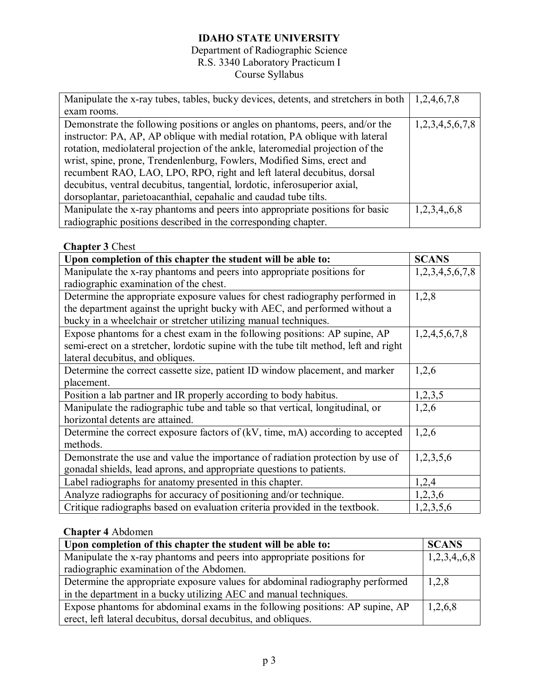## Department of Radiographic Science R.S. 3340 Laboratory Practicum I

# Course Syllabus

| Manipulate the x-ray tubes, tables, bucky devices, detents, and stretchers in both $\mid$ 1,2,4,6,7,8 |                 |
|-------------------------------------------------------------------------------------------------------|-----------------|
| exam rooms.                                                                                           |                 |
| Demonstrate the following positions or angles on phantoms, peers, and/or the                          | 1,2,3,4,5,6,7,8 |
| instructor: PA, AP, AP oblique with medial rotation, PA oblique with lateral                          |                 |
| rotation, mediolateral projection of the ankle, lateromedial projection of the                        |                 |
| wrist, spine, prone, Trendenlenburg, Fowlers, Modified Sims, erect and                                |                 |
| recumbent RAO, LAO, LPO, RPO, right and left lateral decubitus, dorsal                                |                 |
| decubitus, ventral decubitus, tangential, lordotic, inferosuperior axial,                             |                 |
| dorsoplantar, parietoacanthial, cepahalic and caudad tube tilts.                                      |                 |
| Manipulate the x-ray phantoms and peers into appropriate positions for basic                          | 1,2,3,4,6,8     |
| radiographic positions described in the corresponding chapter.                                        |                 |

## **Chapter 3** Chest

| Upon completion of this chapter the student will be able to:                         | <b>SCANS</b>    |
|--------------------------------------------------------------------------------------|-----------------|
| Manipulate the x-ray phantoms and peers into appropriate positions for               | 1,2,3,4,5,6,7,8 |
| radiographic examination of the chest.                                               |                 |
| Determine the appropriate exposure values for chest radiography performed in         | 1,2,8           |
| the department against the upright bucky with AEC, and performed without a           |                 |
| bucky in a wheelchair or stretcher utilizing manual techniques.                      |                 |
| Expose phantoms for a chest exam in the following positions: AP supine, AP           | 1,2,4,5,6,7,8   |
| semi-erect on a stretcher, lordotic supine with the tube tilt method, left and right |                 |
| lateral decubitus, and obliques.                                                     |                 |
| Determine the correct cassette size, patient ID window placement, and marker         | 1,2,6           |
| placement.                                                                           |                 |
| Position a lab partner and IR properly according to body habitus.                    | 1,2,3,5         |
| Manipulate the radiographic tube and table so that vertical, longitudinal, or        | 1,2,6           |
| horizontal detents are attained.                                                     |                 |
| Determine the correct exposure factors of $(kV, time, mA)$ according to accepted     | 1,2,6           |
| methods.                                                                             |                 |
| Demonstrate the use and value the importance of radiation protection by use of       | 1,2,3,5,6       |
| gonadal shields, lead aprons, and appropriate questions to patients.                 |                 |
| Label radiographs for anatomy presented in this chapter.                             | 1,2,4           |
| Analyze radiographs for accuracy of positioning and/or technique.                    | 1,2,3,6         |
| Critique radiographs based on evaluation criteria provided in the textbook.          | 1,2,3,5,6       |

## **Chapter 4** Abdomen

| Upon completion of this chapter the student will be able to:                           |             |
|----------------------------------------------------------------------------------------|-------------|
| Manipulate the x-ray phantoms and peers into appropriate positions for                 | 1,2,3,4,6,8 |
| radiographic examination of the Abdomen.                                               |             |
| Determine the appropriate exposure values for abdominal radiography performed<br>1,2,8 |             |
| in the department in a bucky utilizing AEC and manual techniques.                      |             |
| Expose phantoms for abdominal exams in the following positions: AP supine, AP          | 1,2,6,8     |
| erect, left lateral decubitus, dorsal decubitus, and obliques.                         |             |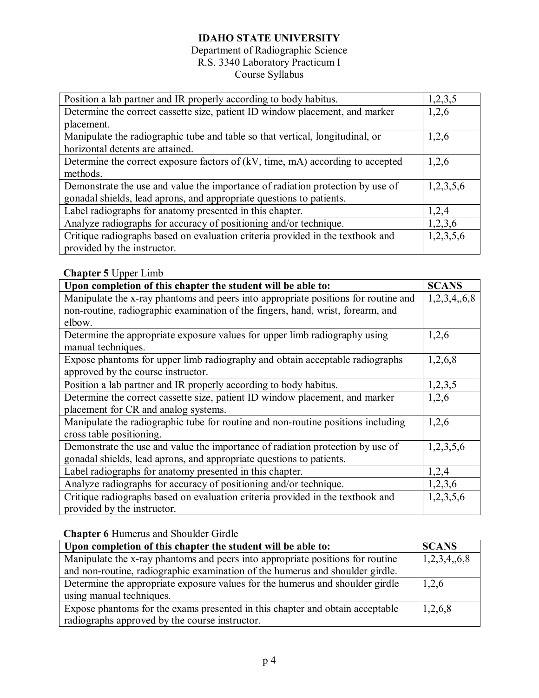## Department of Radiographic Science R.S. 3340 Laboratory Practicum I Course Syllabus

| Position a lab partner and IR properly according to body habitus.              | 1,2,3,5 |
|--------------------------------------------------------------------------------|---------|
| Determine the correct cassette size, patient ID window placement, and marker   |         |
| placement.                                                                     |         |
| Manipulate the radiographic tube and table so that vertical, longitudinal, or  | 1,2,6   |
| horizontal detents are attained.                                               |         |
| Determine the correct exposure factors of (kV, time, mA) according to accepted |         |
| methods.                                                                       |         |
| Demonstrate the use and value the importance of radiation protection by use of |         |
| gonadal shields, lead aprons, and appropriate questions to patients.           |         |
| Label radiographs for anatomy presented in this chapter.                       | 1,2,4   |
| Analyze radiographs for accuracy of positioning and/or technique.              | 1,2,3,6 |
| Critique radiographs based on evaluation criteria provided in the textbook and |         |
| provided by the instructor.                                                    |         |

## **Chapter 5** Upper Limb

| Upon completion of this chapter the student will be able to:                       |           |
|------------------------------------------------------------------------------------|-----------|
| Manipulate the x-ray phantoms and peers into appropriate positions for routine and |           |
| non-routine, radiographic examination of the fingers, hand, wrist, forearm, and    |           |
| elbow.                                                                             |           |
| Determine the appropriate exposure values for upper limb radiography using         | 1,2,6     |
| manual techniques.                                                                 |           |
| Expose phantoms for upper limb radiography and obtain acceptable radiographs       | 1,2,6,8   |
| approved by the course instructor.                                                 |           |
| Position a lab partner and IR properly according to body habitus.                  | 1,2,3,5   |
| Determine the correct cassette size, patient ID window placement, and marker       |           |
| placement for CR and analog systems.                                               |           |
| Manipulate the radiographic tube for routine and non-routine positions including   | 1,2,6     |
| cross table positioning.                                                           |           |
| Demonstrate the use and value the importance of radiation protection by use of     | 1,2,3,5,6 |
| gonadal shields, lead aprons, and appropriate questions to patients.               |           |
| Label radiographs for anatomy presented in this chapter.                           | 1,2,4     |
| Analyze radiographs for accuracy of positioning and/or technique.                  | 1,2,3,6   |
| Critique radiographs based on evaluation criteria provided in the textbook and     | 1,2,3,5,6 |
| provided by the instructor.                                                        |           |

## **Chapter 6** Humerus and Shoulder Girdle

| Upon completion of this chapter the student will be able to:                   |             |
|--------------------------------------------------------------------------------|-------------|
| Manipulate the x-ray phantoms and peers into appropriate positions for routine | 1,2,3,4,6,8 |
| and non-routine, radiographic examination of the humerus and shoulder girdle.  |             |
| Determine the appropriate exposure values for the humerus and shoulder girdle  |             |
| using manual techniques.                                                       |             |
| Expose phantoms for the exams presented in this chapter and obtain acceptable  | 1,2,6,8     |
| radiographs approved by the course instructor.                                 |             |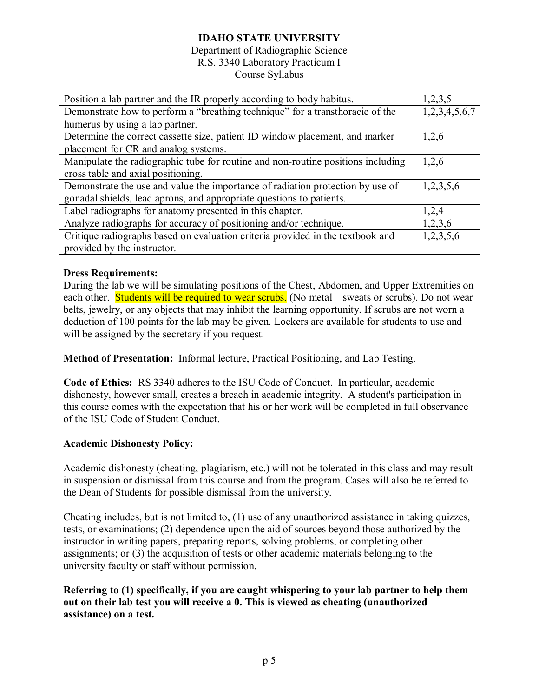#### Department of Radiographic Science R.S. 3340 Laboratory Practicum I Course Syllabus

| Position a lab partner and the IR properly according to body habitus.            | 1,2,3,5       |
|----------------------------------------------------------------------------------|---------------|
| Demonstrate how to perform a "breathing technique" for a transthoracic of the    | 1,2,3,4,5,6,7 |
| humerus by using a lab partner.                                                  |               |
| Determine the correct cassette size, patient ID window placement, and marker     | 1,2,6         |
| placement for CR and analog systems.                                             |               |
| Manipulate the radiographic tube for routine and non-routine positions including | 1,2,6         |
| cross table and axial positioning.                                               |               |
| Demonstrate the use and value the importance of radiation protection by use of   | 1,2,3,5,6     |
| gonadal shields, lead aprons, and appropriate questions to patients.             |               |
| Label radiographs for anatomy presented in this chapter.                         | 1,2,4         |
| Analyze radiographs for accuracy of positioning and/or technique.                | 1,2,3,6       |
| Critique radiographs based on evaluation criteria provided in the textbook and   | 1,2,3,5,6     |
| provided by the instructor.                                                      |               |

## **Dress Requirements:**

During the lab we will be simulating positions of the Chest, Abdomen, and Upper Extremities on each other. **Students will be required to wear scrubs.** (No metal – sweats or scrubs). Do not wear belts, jewelry, or any objects that may inhibit the learning opportunity. If scrubs are not worn a deduction of 100 points for the lab may be given. Lockers are available for students to use and will be assigned by the secretary if you request.

**Method of Presentation:** Informal lecture, Practical Positioning, and Lab Testing.

**Code of Ethics:** RS 3340 adheres to the ISU Code of Conduct. In particular, academic dishonesty, however small, creates a breach in academic integrity. A student's participation in this course comes with the expectation that his or her work will be completed in full observance of the ISU Code of Student Conduct.

## **Academic Dishonesty Policy:**

Academic dishonesty (cheating, plagiarism, etc.) will not be tolerated in this class and may result in suspension or dismissal from this course and from the program. Cases will also be referred to the Dean of Students for possible dismissal from the university.

Cheating includes, but is not limited to, (1) use of any unauthorized assistance in taking quizzes, tests, or examinations; (2) dependence upon the aid of sources beyond those authorized by the instructor in writing papers, preparing reports, solving problems, or completing other assignments; or (3) the acquisition of tests or other academic materials belonging to the university faculty or staff without permission.

**Referring to (1) specifically, if you are caught whispering to your lab partner to help them out on their lab test you will receive a 0. This is viewed as cheating (unauthorized assistance) on a test.**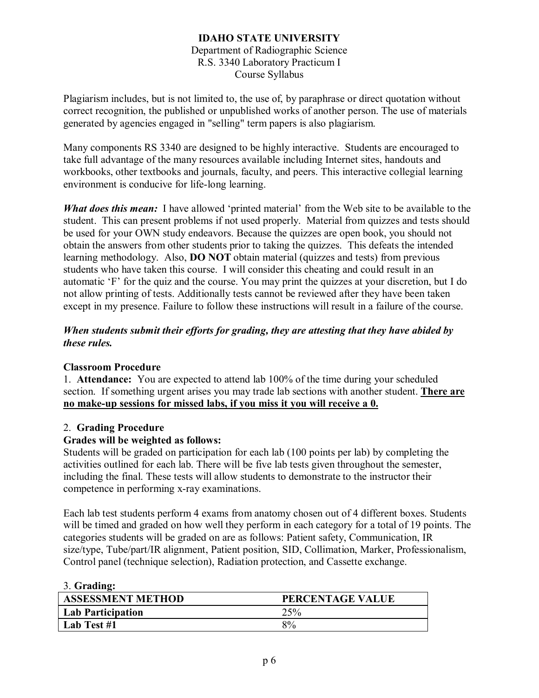#### **IDAHO STATE UNIVERSITY** Department of Radiographic Science R.S. 3340 Laboratory Practicum I Course Syllabus

Plagiarism includes, but is not limited to, the use of, by paraphrase or direct quotation without correct recognition, the published or unpublished works of another person. The use of materials generated by agencies engaged in "selling" term papers is also plagiarism.

Many components RS 3340 are designed to be highly interactive. Students are encouraged to take full advantage of the many resources available including Internet sites, handouts and workbooks, other textbooks and journals, faculty, and peers. This interactive collegial learning environment is conducive for life-long learning.

*What does this mean:* I have allowed 'printed material' from the Web site to be available to the student. This can present problems if not used properly. Material from quizzes and tests should be used for your OWN study endeavors. Because the quizzes are open book, you should not obtain the answers from other students prior to taking the quizzes. This defeats the intended learning methodology. Also, **DO NOT** obtain material (quizzes and tests) from previous students who have taken this course. I will consider this cheating and could result in an automatic 'F' for the quiz and the course. You may print the quizzes at your discretion, but I do not allow printing of tests. Additionally tests cannot be reviewed after they have been taken except in my presence. Failure to follow these instructions will result in a failure of the course.

## *When students submit their efforts for grading, they are attesting that they have abided by these rules.*

## **Classroom Procedure**

1. **Attendance:** You are expected to attend lab 100% of the time during your scheduled section. If something urgent arises you may trade lab sections with another student. **There are no make-up sessions for missed labs, if you miss it you will receive a 0.**

## 2. **Grading Procedure**

## **Grades will be weighted as follows:**

Students will be graded on participation for each lab (100 points per lab) by completing the activities outlined for each lab. There will be five lab tests given throughout the semester, including the final. These tests will allow students to demonstrate to the instructor their competence in performing x-ray examinations.

Each lab test students perform 4 exams from anatomy chosen out of 4 different boxes. Students will be timed and graded on how well they perform in each category for a total of 19 points. The categories students will be graded on are as follows: Patient safety, Communication, IR size/type, Tube/part/IR alignment, Patient position, SID, Collimation, Marker, Professionalism, Control panel (technique selection), Radiation protection, and Cassette exchange.

| PERCENTAGE VALUE |
|------------------|
| 25%              |
| $8\%$            |
|                  |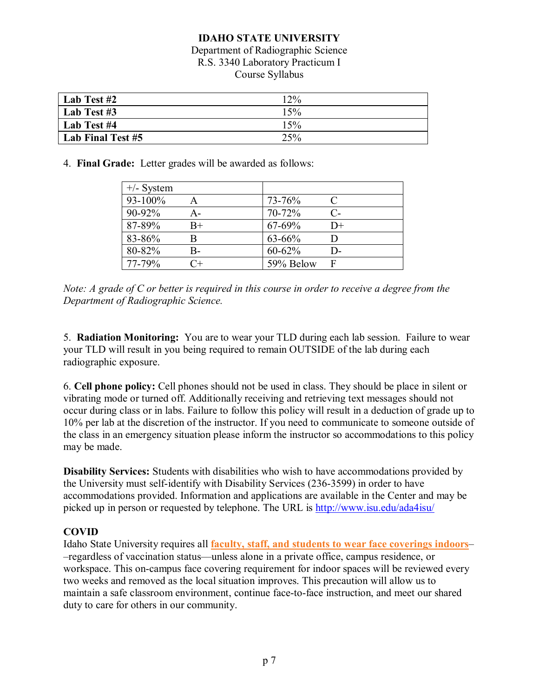#### Department of Radiographic Science R.S. 3340 Laboratory Practicum I Course Syllabus

| Lab Test #2       | 12% |
|-------------------|-----|
| Lab Test #3       | 15% |
| Lab Test #4       | 15% |
| Lab Final Test #5 | 25% |

4. **Final Grade:** Letter grades will be awarded as follows:

| $+/-$ System |       |           |                             |
|--------------|-------|-----------|-----------------------------|
| 93-100%      |       | 73-76%    | $\mathcal{C}_{\mathcal{C}}$ |
| 90-92%       | А-    | 70-72%    | $\mathsf{C}\text{-}$        |
| 87-89%       | $B+$  | 67-69%    | $D+$                        |
| 83-86%       |       | 63-66%    |                             |
| 80-82%       | B-    | 60-62%    | D-                          |
| 77-79%       | $C +$ | 59% Below | F                           |

*Note: A grade of C or better is required in this course in order to receive a degree from the Department of Radiographic Science.*

5. **Radiation Monitoring:** You are to wear your TLD during each lab session. Failure to wear your TLD will result in you being required to remain OUTSIDE of the lab during each radiographic exposure.

6. **Cell phone policy:** Cell phones should not be used in class. They should be place in silent or vibrating mode or turned off. Additionally receiving and retrieving text messages should not occur during class or in labs. Failure to follow this policy will result in a deduction of grade up to 10% per lab at the discretion of the instructor. If you need to communicate to someone outside of the class in an emergency situation please inform the instructor so accommodations to this policy may be made.

**Disability Services:** Students with disabilities who wish to have accommodations provided by the University must self-identify with Disability Services (236-3599) in order to have accommodations provided. Information and applications are available in the Center and may be picked up in person or requested by telephone. The URL is<http://www.isu.edu/ada4isu/>

## **COVID**

Idaho State University requires all **[faculty, staff, and students to wear face coverings indoors](https://r20.rs6.net/tn.jsp?f=001bWUtt6PH51JppjsUPzn9bnpg4PNPUP6TqfNwrPVwjxcrM0Loodtb5oNiUaeKt_dMLsaLD2fEP6U0iJE90GLHsNPoGbB_MllQ6YLAQFJ7AUmrwRnEhnFnmsTP2ZuBPqNmJOpIqKBxa9ODX77oCsYaQw==&c=-3uiKvLzlGBsfueTyLNCYB6WyiIaO0aVFp05FwpdVihSbx0eJaSA6g==&ch=oriuqVE8QHCJ2FAt0EQj-1xT1RxFLAuEDHrWYSELoARUVEP27HF8fA==)**– –regardless of vaccination status––unless alone in a private office, campus residence, or workspace. This on-campus face covering requirement for indoor spaces will be reviewed every two weeks and removed as the local situation improves. This precaution will allow us to maintain a safe classroom environment, continue face-to-face instruction, and meet our shared duty to care for others in our community.